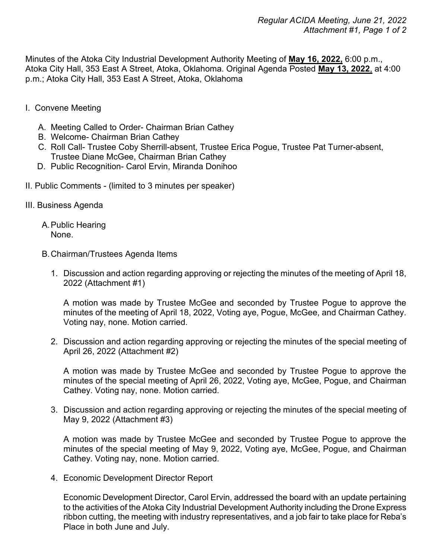Minutes of the Atoka City Industrial Development Authority Meeting of **May 16, 2022,** 6:00 p.m., Atoka City Hall, 353 East A Street, Atoka, Oklahoma. Original Agenda Posted **May 13, 2022**, at 4:00 p.m.; Atoka City Hall, 353 East A Street, Atoka, Oklahoma

- I. Convene Meeting
	- A. Meeting Called to Order- Chairman Brian Cathey
	- B. Welcome- Chairman Brian Cathey
	- C. Roll Call- Trustee Coby Sherrill-absent, Trustee Erica Pogue, Trustee Pat Turner-absent, Trustee Diane McGee, Chairman Brian Cathey
	- D. Public Recognition- Carol Ervin, Miranda Donihoo
- II. Public Comments (limited to 3 minutes per speaker)
- III. Business Agenda
	- A.Public Hearing None.
	- B.Chairman/Trustees Agenda Items
		- 1. Discussion and action regarding approving or rejecting the minutes of the meeting of April 18, 2022 (Attachment #1)

A motion was made by Trustee McGee and seconded by Trustee Pogue to approve the minutes of the meeting of April 18, 2022, Voting aye, Pogue, McGee, and Chairman Cathey. Voting nay, none. Motion carried.

2. Discussion and action regarding approving or rejecting the minutes of the special meeting of April 26, 2022 (Attachment #2)

A motion was made by Trustee McGee and seconded by Trustee Pogue to approve the minutes of the special meeting of April 26, 2022, Voting aye, McGee, Pogue, and Chairman Cathey. Voting nay, none. Motion carried.

3. Discussion and action regarding approving or rejecting the minutes of the special meeting of May 9, 2022 (Attachment #3)

A motion was made by Trustee McGee and seconded by Trustee Pogue to approve the minutes of the special meeting of May 9, 2022, Voting aye, McGee, Pogue, and Chairman Cathey. Voting nay, none. Motion carried.

4. Economic Development Director Report

Economic Development Director, Carol Ervin, addressed the board with an update pertaining to the activities of the Atoka City Industrial Development Authority including the Drone Express ribbon cutting, the meeting with industry representatives, and a job fair to take place for Reba's Place in both June and July.